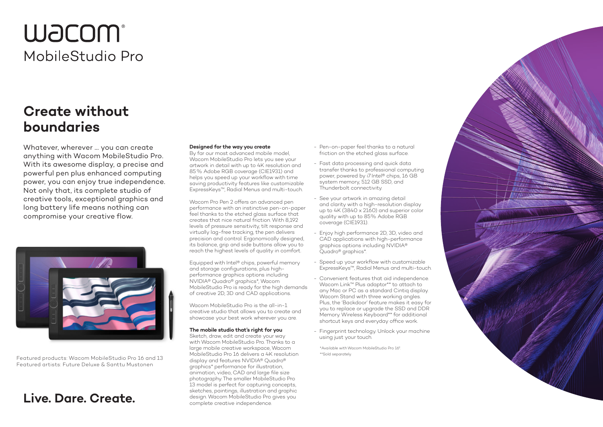# **WACOM®** MobileStudio Pro

### **Create without boundaries**

Whatever, wherever … you can create anything with Wacom MobileStudio Pro. With its awesome display, a precise and powerful pen plus enhanced computing power, you can enjoy true independence. Not only that, its complete studio of creative tools, exceptional graphics and long battery life means nothing can compromise your creative flow.



Featured products: Wacom MobileStudio Pro 16 and 13 Featured artists: Future Deluxe & Santtu Mustonen

### **Live. Dare. Create.**

#### **Designed for the way you create**

By far our most advanced mobile model, Wacom MobileStudio Pro lets you see your artwork in detail with up to 4K resolution and 85% Adobe RGB coverage (CIE1931) and helps you speed up your workflow with time saving productivity features like customizable ExpressKeys™, Radial Menus and multi-touch.

Wacom Pro Pen 2 offers an advanced pen performance with an instinctive pen-on-paper feel thanks to the etched glass surface that creates that nice natural friction. With 8,192 levels of pressure sensitivity, tilt response and virtually lag-free tracking, the pen delivers precision and control. Ergonomically designed, its balance, grip and side buttons allow you to reach the highest levels of quality in comfort.

Equipped with Intel® chips, powerful memory and storage configurations, plus highperformance graphics options including NVIDIA® Quadro® graphics\*, Wacom MobileStudio Pro is ready for the high demands of creative 2D, 3D and CAD applications.

Wacom MobileStudio Pro is the all-in-1 creative studio that allows you to create and showcase your best work wherever you are.

#### **The mobile studio that's right for you**

Sketch, draw, edit and create your way with Wacom MobileStudio Pro. Thanks to a large mobile creative workspace, Wacom MobileStudio Pro 16 delivers a 4K resolution display and features NVIDIA® Quadro® graphics\* performance for illustration, animation, video, CAD and large file size photography. The smaller MobileStudio Pro 13 model is perfect for capturing concepts. sketches, paintings, illustration and graphic design. Wacom MobileStudio Pro gives you complete creative independence.

- Pen-on-paper feel thanks to a natural friction on the etched glass surface.
- Fast data processing and quick data transfer thanks to professional computing power, powered by i7 Intel® chips, 16 GB system memory, 512 GB SSD, and Thunderbolt connectivity.
- See your artwork in amazing detail and clarity with a high-resolution display up to 4K (3840 x 2160) and superior color quality with up to 85% Adobe RGB coverage (CIE1931).
- Enjoy high performance 2D, 3D, video and CAD applications with high-performance graphics options including NVIDIA® Quadro® graphics\*.
- Speed up your workflow with customizable ExpressKeys™, Radial Menus and multi-touch.
- Convenient features that aid independence. Wacom Link™ Plus adaptor\*\* to attach to any Mac or PC as a standard Cintiq display. Wacom Stand with three working angles. Plus, the 'Backdoor' feature makes it easy for you to replace or upgrade the SSD and DDR Memory. Wireless Keyboard\*\* for additional shortcut keys and everyday office work.
- Fingerprint technology. Unlock your machine using just your touch.

\*Available with Wacom MobileStudio Pro 16". \*\*Sold separately.